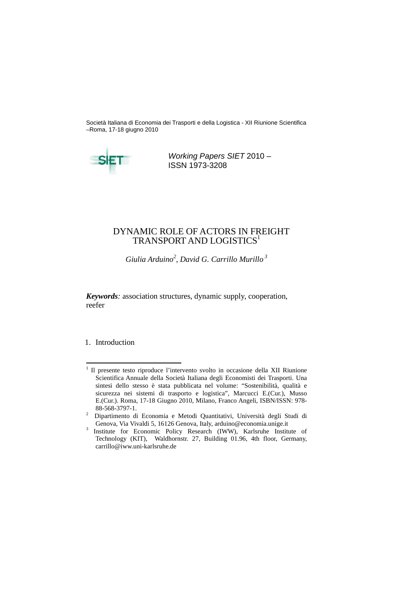Società Italiana di Economia dei Trasporti e della Logistica - XII Riunione Scientifica –Roma, 17-18 giugno 2010



# DYNAMIC ROLE OF ACTORS IN FREIGHT TRANSPORT AND LOGISTICS $^{\rm I}$

Working Papers SIET 2010 – ISSN 1973-3208

*Giulia Arduino<sup>2</sup>, David G. Carrillo Murillo<sup>3</sup>*

*Keywords:* association structures, dynamic supply, cooperation, reefer

# 1. Introduction

carrillo@iww.uni-karlsruhe.de

<sup>&</sup>lt;sup>1</sup> Il presente testo riproduce l'intervento svolto in occasione della XII Riunione Scientifica Annuale della Società Italiana degli Economisti dei Trasporti. Una sintesi dello stesso è stata pubblicata nel volume: "Sostenibilità, qualità e sicurezza nei sistemi di trasporto e logistica", Marcucci E.(Cur.), Musso E.(Cur.). Roma, 17-18 Giugno 2010, Milano, Franco Angeli, ISBN/ISSN: 978-88-568-3797-1.

<sup>&</sup>lt;sup>2</sup> Dipartimento di Economia e Metodi Quantitativi, Università degli Studi di Genova, Via Vivaldi 5, 16126 Genova, Italy, arduino@economia.unige.it

<sup>&</sup>lt;sup>3</sup> Institute for Economic Policy Research (IWW), Karlsruhe Institute of Technology (KIT), Waldhornstr. 27, Building 01.96, 4th floor, Germany,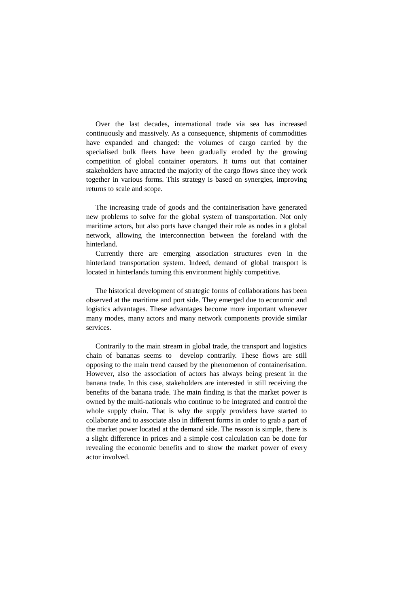Over the last decades, international trade via sea has increased continuously and massively. As a consequence, shipments of commodities have expanded and changed: the volumes of cargo carried by the specialised bulk fleets have been gradually eroded by the growing competition of global container operators. It turns out that container stakeholders have attracted the majority of the cargo flows since they work together in various forms. This strategy is based on synergies, improving returns to scale and scope.

The increasing trade of goods and the containerisation have generated new problems to solve for the global system of transportation. Not only maritime actors, but also ports have changed their role as nodes in a global network, allowing the interconnection between the foreland with the hinterland.

Currently there are emerging association structures even in the hinterland transportation system. Indeed, demand of global transport is located in hinterlands turning this environment highly competitive.

The historical development of strategic forms of collaborations has been observed at the maritime and port side. They emerged due to economic and logistics advantages. These advantages become more important whenever many modes, many actors and many network components provide similar services.

Contrarily to the main stream in global trade, the transport and logistics chain of bananas seems to develop contrarily. These flows are still opposing to the main trend caused by the phenomenon of containerisation. However, also the association of actors has always being present in the banana trade. In this case, stakeholders are interested in still receiving the benefits of the banana trade. The main finding is that the market power is owned by the multi-nationals who continue to be integrated and control the whole supply chain. That is why the supply providers have started to collaborate and to associate also in different forms in order to grab a part of the market power located at the demand side. The reason is simple, there is a slight difference in prices and a simple cost calculation can be done for

revealing the economic benefits and to show the market power of every actor involved.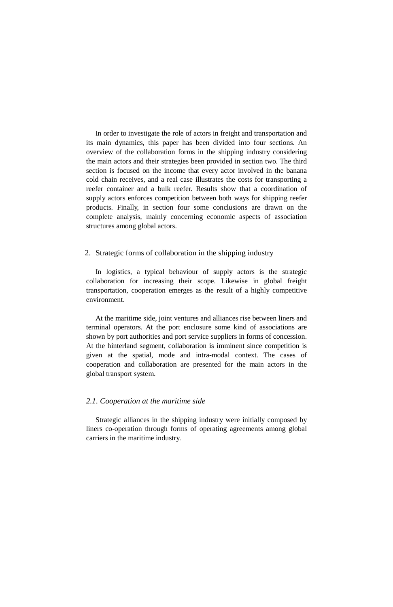In order to investigate the role of actors in freight and transportation and its main dynamics, this paper has been divided into four sections. An overview of the collaboration forms in the shipping industry considering the main actors and their strategies been provided in section two. The third section is focused on the income that every actor involved in the banana cold chain receives, and a real case illustrates the costs for transporting a reefer container and a bulk reefer. Results show that a coordination of supply actors enforces competition between both ways for shipping reefer products. Finally, in section four some conclusions are drawn on the complete analysis, mainly concerning economic aspects of association structures among global actors.

## 2. Strategic forms of collaboration in the shipping industry

In logistics, a typical behaviour of supply actors is the strategic collaboration for increasing their scope. Likewise in global freight transportation, cooperation emerges as the result of a highly competitive environment.

At the maritime side, joint ventures and alliances rise between liners and terminal operators. At the port enclosure some kind of associations are shown by port authorities and port service suppliers in forms of concession. At the hinterland segment, collaboration is imminent since competition is given at the spatial, mode and intra-modal context. The cases of cooperation and collaboration are presented for the main actors in the global transport system.

#### *2.1. Cooperation at the maritime side*

Strategic alliances in the shipping industry were initially composed by liners co-operation through forms of operating agreements among global carriers in the maritime industry.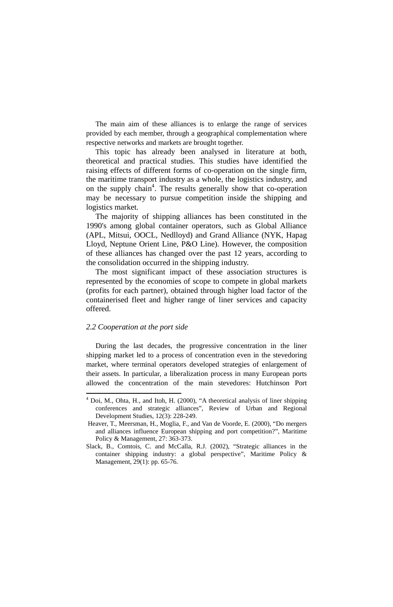The main aim of these alliances is to enlarge the range of services provided by each member, through a geographical complementation where respective networks and markets are brought together.

This topic has already been analysed in literature at both, theoretical and practical studies. This studies have identified the raising effects of different forms of co-operation on the single firm, the maritime transport industry as a whole, the logistics industry, and on the supply chain<sup>4</sup>. The results generally show that co-operation may be necessary to pursue competition inside the shipping and logistics market.

The majority of shipping alliances has been constituted in the 1990's among global container operators, such as Global Alliance (APL, Mitsui, OOCL, Nedlloyd) and Grand Alliance (NYK, Hapag Lloyd, Neptune Orient Line, P&O Line). However, the composition of these alliances has changed over the past 12 years, according to the consolidation occurred in the shipping industry.

The most significant impact of these association structures is represented by the economies of scope to compete in global markets (profits for each partner), obtained through higher load factor of the containerised fleet and higher range of liner services and capacity offered.

### *2.2 Cooperation at the port side*

During the last decades, the progressive concentration in the liner shipping market led to a process of concentration even in the stevedoring market, where terminal operators developed strategies of enlargement of their assets. In particular, a liberalization process in many European ports allowed the concentration of the main stevedores: Hutchinson Port

 Slack, B., Comtois, C. and McCalla, R.J. (2002), "Strategic alliances in the container shipping industry: a global perspective", Maritime Policy & Management, 29(1): pp. 65-76.

 $<sup>4</sup>$  Doi, M., Ohta, H., and Itoh, H. (2000), "A theoretical analysis of liner shipping</sup> conferences and strategic alliances", Review of Urban and Regional Development Studies, 12(3): 228-249.

Heaver, T., Meersman, H., Moglia, F., and Van de Voorde, E. (2000), "Do mergers and alliances influence European shipping and port competition?", Maritime Policy & Management, 27: 363-373.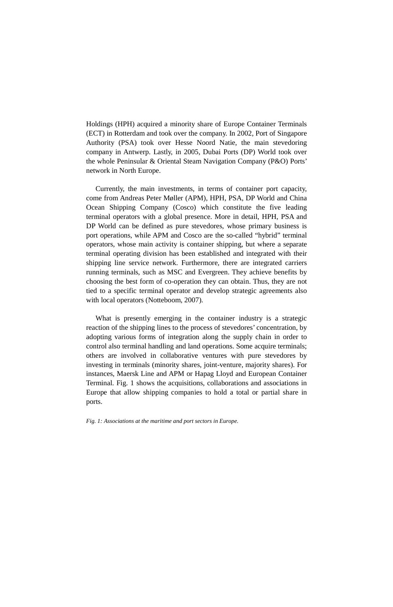Holdings (HPH) acquired a minority share of Europe Container Terminals (ECT) in Rotterdam and took over the company. In 2002, Port of Singapore Authority (PSA) took over Hesse Noord Natie, the main stevedoring company in Antwerp. Lastly, in 2005, Dubai Ports (DP) World took over the whole Peninsular & Oriental Steam Navigation Company (P&O) Ports' network in North Europe.

Currently, the main investments, in terms of container port capacity, come from Andreas Peter Møller (APM), HPH, PSA, DP World and China Ocean Shipping Company (Cosco) which constitute the five leading terminal operators with a global presence. More in detail, HPH, PSA and DP World can be defined as pure stevedores, whose primary business is port operations, while APM and Cosco are the so-called "hybrid" terminal operators, whose main activity is container shipping, but where a separate terminal operating division has been established and integrated with their shipping line service network. Furthermore, there are integrated carriers running terminals, such as MSC and Evergreen. They achieve benefits by choosing the best form of co-operation they can obtain. Thus, they are not tied to a specific terminal operator and develop strategic agreements also with local operators (Notteboom, 2007).

What is presently emerging in the container industry is a strategic reaction of the shipping lines to the process of stevedores' concentration, by adopting various forms of integration along the supply chain in order to control also terminal handling and land operations. Some acquire terminals; others are involved in collaborative ventures with pure stevedores by investing in terminals (minority shares, joint-venture, majority shares). For instances, Maersk Line and APM or Hapag Lloyd and European Container Terminal. Fig. 1 shows the acquisitions, collaborations and associations in Europe that allow shipping companies to hold a total or partial share in ports.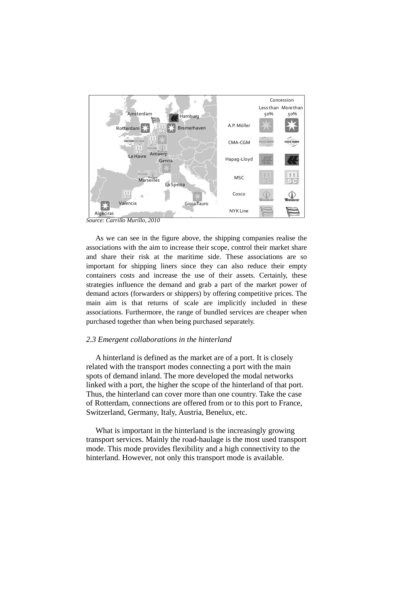### *2.3 Emergent collaborations in the hinterland*

A hinterland is defined as the market are of a port. It is closely related with the transport modes connecting a port with the main spots of demand inland. The more developed the modal networks linked with a port, the higher the scope of the hinterland of that port. Thus, the hinterland can cover more than one country. Take the case of Rotterdam, connections are offered from or to this port to France, Switzerland, Germany, Italy, Austria, Benelux, etc.



As we can see in the figure above, the shipping companies realise the associations with the aim to increase their scope, control their market share and share their risk at the maritime side. These associations are so important for shipping liners since they can also reduce their empty containers costs and increase the use of their assets. Certainly, these strategies influence the demand and grab a part of the market power of demand actors (forwarders or shippers) by offering competitive prices. The main aim is that returns of scale are implicitly included in these associations. Furthermore, the range of bundled services are cheaper when purchased together than when being purchased separately.

What is important in the hinterland is the increasingly growing transport services. Mainly the road-haulage is the most used transport mode. This mode provides flexibility and a high connectivity to the hinterland. However, not only this transport mode is available.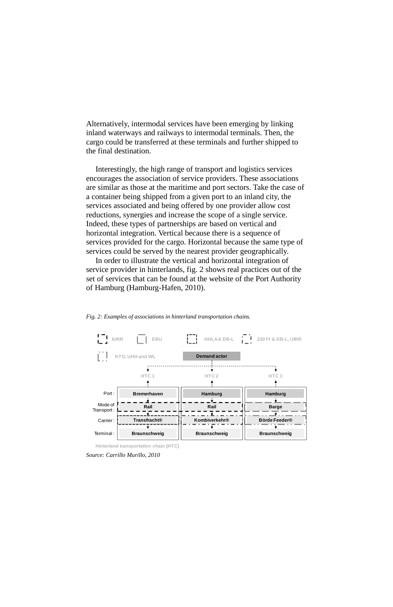Alternatively, intermodal services have been emerging by linking inland waterways and railways to intermodal terminals. Then, the cargo could be transferred at these terminals and further shipped to the final destination.

Interestingly, the high range of transport and logistics services encourages the association of service providers. These associations are similar as those at the maritime and port sectors. Take the case of a container being shipped from a given port to an inland city, the services associated and being offered by one provider allow cost reductions, synergies and increase the scope of a single service. Indeed, these types of partnerships are based on vertical and horizontal integration. Vertical because there is a sequence of services provided for the cargo. Horizontal because the same type of services could be served by the nearest provider geographically.

In order to illustrate the vertical and horizontal integration of service provider in hinterlands, fig. 2 shows real practices out of the set of services that can be found at the website of the Port Authority of Hamburg (Hamburg-Hafen, 2010).

*Source: Carrillo Murillo, 2010* 



*Fig. 2: Examples of associations in hinterland transportation chains.* 

**Hinterland transportation chain (HTC)**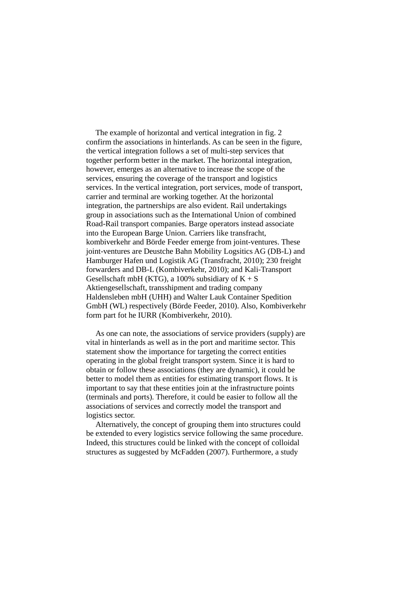The example of horizontal and vertical integration in fig. 2 confirm the associations in hinterlands. As can be seen in the figure, the vertical integration follows a set of multi-step services that together perform better in the market. The horizontal integration, however, emerges as an alternative to increase the scope of the services, ensuring the coverage of the transport and logistics services. In the vertical integration, port services, mode of transport, carrier and terminal are working together. At the horizontal integration, the partnerships are also evident. Rail undertakings group in associations such as the International Union of combined Road-Rail transport companies. Barge operators instead associate into the European Barge Union. Carriers like transfracht, kombiverkehr and Börde Feeder emerge from joint-ventures. These joint-ventures are Deustche Bahn Mobility Logsitics AG (DB-L) and Hamburger Hafen und Logistik AG (Transfracht, 2010); 230 freight forwarders and DB-L (Kombiverkehr, 2010); and Kali-Transport Gesellschaft mbH (KTG), a 100% subsidiary of  $K + S$ Aktiengesellschaft, transshipment and trading company Haldensleben mbH (UHH) and Walter Lauk Container Spedition GmbH (WL) respectively (Börde Feeder, 2010). Also, Kombiverkehr form part fot he IURR (Kombiverkehr, 2010).

As one can note, the associations of service providers (supply) are vital in hinterlands as well as in the port and maritime sector. This statement show the importance for targeting the correct entities operating in the global freight transport system. Since it is hard to obtain or follow these associations (they are dynamic), it could be better to model them as entities for estimating transport flows. It is important to say that these entities join at the infrastructure points (terminals and ports). Therefore, it could be easier to follow all the associations of services and correctly model the transport and logistics sector.

Alternatively, the concept of grouping them into structures could be extended to every logistics service following the same procedure. Indeed, this structures could be linked with the concept of colloidal

# structures as suggested by McFadden (2007). Furthermore, a study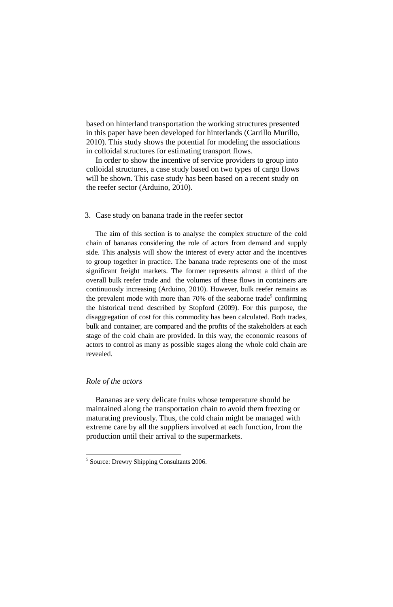based on hinterland transportation the working structures presented in this paper have been developed for hinterlands (Carrillo Murillo, 2010). This study shows the potential for modeling the associations in colloidal structures for estimating transport flows.

In order to show the incentive of service providers to group into colloidal structures, a case study based on two types of cargo flows will be shown. This case study has been based on a recent study on the reefer sector (Arduino, 2010).

### 3. Case study on banana trade in the reefer sector

The aim of this section is to analyse the complex structure of the cold chain of bananas considering the role of actors from demand and supply side. This analysis will show the interest of every actor and the incentives to group together in practice. The banana trade represents one of the most significant freight markets. The former represents almost a third of the overall bulk reefer trade and the volumes of these flows in containers are continuously increasing (Arduino, 2010). However, bulk reefer remains as the prevalent mode with more than 70% of the seaborne trade<sup>5</sup> confirming the historical trend described by Stopford (2009). For this purpose, the disaggregation of cost for this commodity has been calculated. Both trades, bulk and container, are compared and the profits of the stakeholders at each stage of the cold chain are provided. In this way, the economic reasons of actors to control as many as possible stages along the whole cold chain are revealed.

### *Role of the actors*

Bananas are very delicate fruits whose temperature should be maintained along the transportation chain to avoid them freezing or maturating previously. Thus, the cold chain might be managed with extreme care by all the suppliers involved at each function, from the production until their arrival to the supermarkets.

<sup>5</sup> Source: Drewry Shipping Consultants 2006.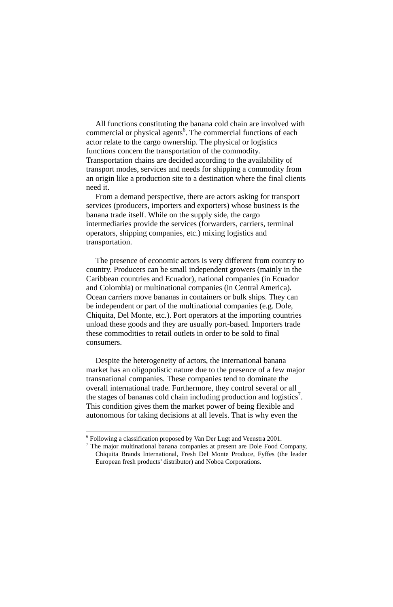All functions constituting the banana cold chain are involved with commercial or physical agents<sup>6</sup>. The commercial functions of each actor relate to the cargo ownership. The physical or logistics functions concern the transportation of the commodity. Transportation chains are decided according to the availability of transport modes, services and needs for shipping a commodity from an origin like a production site to a destination where the final clients need it.

From a demand perspective, there are actors asking for transport services (producers, importers and exporters) whose business is the banana trade itself. While on the supply side, the cargo intermediaries provide the services (forwarders, carriers, terminal operators, shipping companies, etc.) mixing logistics and transportation.

 $<sup>7</sup>$  The major multinational banana companies at present are Dole Food Company,</sup> Chiquita Brands International, Fresh Del Monte Produce, Fyffes (the leader European fresh products' distributor) and Noboa Corporations.

The presence of economic actors is very different from country to country. Producers can be small independent growers (mainly in the Caribbean countries and Ecuador), national companies (in Ecuador and Colombia) or multinational companies (in Central America). Ocean carriers move bananas in containers or bulk ships. They can be independent or part of the multinational companies (e.g. Dole, Chiquita, Del Monte, etc.). Port operators at the importing countries unload these goods and they are usually port-based. Importers trade these commodities to retail outlets in order to be sold to final consumers.

Despite the heterogeneity of actors, the international banana market has an oligopolistic nature due to the presence of a few major transnational companies. These companies tend to dominate the overall international trade. Furthermore, they control several or all the stages of bananas cold chain including production and logistics<sup>7</sup>. This condition gives them the market power of being flexible and autonomous for taking decisions at all levels. That is why even the

 $6$  Following a classification proposed by Van Der Lugt and Veenstra 2001.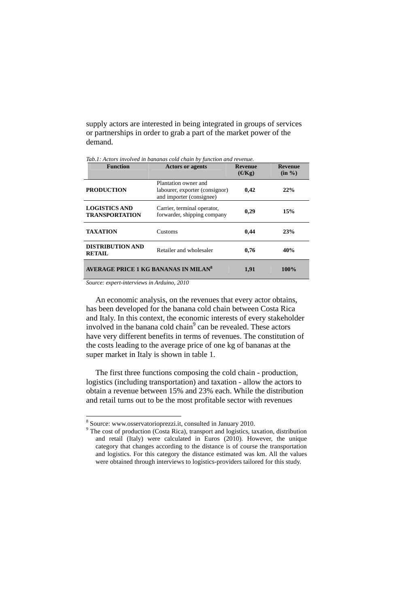supply actors are interested in being integrated in groups of services or partnerships in order to grab a part of the market power of the demand.

| <b>Function</b>                                  | <b>Actors or agents</b>                                                            | <b>Revenue</b><br>(E/Kg) | <b>Revenue</b><br>(in %) |
|--------------------------------------------------|------------------------------------------------------------------------------------|--------------------------|--------------------------|
| <b>PRODUCTION</b>                                | Plantation owner and<br>labourer, exporter (consignor)<br>and importer (consignee) | 0,42                     | 22%                      |
| <b>LOGISTICS AND</b><br><b>TRANSPORTATION</b>    | Carrier, terminal operator,<br>forwarder, shipping company                         | 0,29                     | 15%                      |
| <b>TAXATION</b>                                  | Customs                                                                            | 0,44                     | 23%                      |
| <b>DISTRIBUTION AND</b><br><b>RETAIL</b>         | Retailer and wholesaler                                                            | 0,76                     | 40%                      |
| AVERAGE PRICE 1 KG BANANAS IN MILAN <sup>8</sup> |                                                                                    | 1,91                     | 100%                     |

*Tab.1: Actors involved in bananas cold chain by function and revenue.* 

*Source: expert-interviews in Arduino, 2010* 

An economic analysis, on the revenues that every actor obtains, has been developed for the banana cold chain between Costa Rica and Italy. In this context, the economic interests of every stakeholder involved in the banana cold chain<sup>9</sup> can be revealed. These actors have very different benefits in terms of revenues. The constitution of the costs leading to the average price of one kg of bananas at the super market in Italy is shown in table 1.

The first three functions composing the cold chain - production, logistics (including transportation) and taxation - allow the actors to obtain a revenue between 15% and 23% each. While the distribution and retail turns out to be the most profitable sector with revenues

category that changes according to the distance is of course the transportation and logistics. For this category the distance estimated was km. All the values were obtained through interviews to logistics-providers tailored for this study.

 $9^9$  The cost of production (Costa Rica), transport and logistics, taxation, distribution and retail (Italy) were calculated in Euros (2010). However, the unique

<sup>8</sup> Source: www.osservatorioprezzi.it, consulted in January 2010.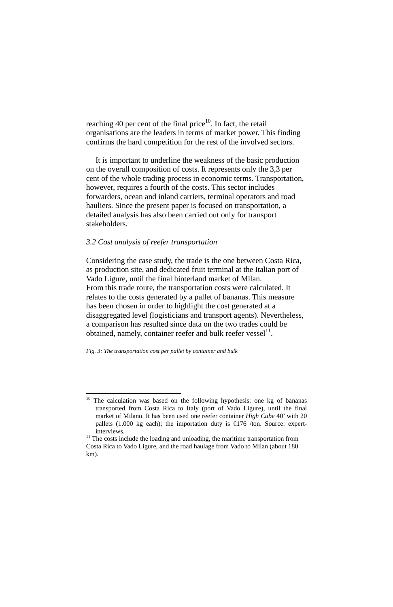reaching 40 per cent of the final price $10$ . In fact, the retail organisations are the leaders in terms of market power. This finding confirms the hard competition for the rest of the involved sectors.

Considering the case study, the trade is the one between Costa Rica, as production site, and dedicated fruit terminal at the Italian port of Vado Ligure, until the final hinterland market of Milan. From this trade route, the transportation costs were calculated. It relates to the costs generated by a pallet of bananas. This measure has been chosen in order to highlight the cost generated at a disaggregated level (logisticians and transport agents). Nevertheless, a comparison has resulted since data on the two trades could be obtained, namely, container reefer and bulk reefer vessel $<sup>11</sup>$ .</sup>

It is important to underline the weakness of the basic production on the overall composition of costs. It represents only the 3,3 per cent of the whole trading process in economic terms. Transportation, however, requires a fourth of the costs. This sector includes forwarders, ocean and inland carriers, terminal operators and road hauliers. Since the present paper is focused on transportation, a detailed analysis has also been carried out only for transport stakeholders.

### *3.2 Cost analysis of reefer transportation*

*Fig. 3: The transportation cost per pallet by container and bulk* 

Costa Rica to Vado Ligure, and the road haulage from Vado to Milan (about 180 km).

<sup>&</sup>lt;sup>10</sup> The calculation was based on the following hypothesis: one kg of bananas transported from Costa Rica to Italy (port of Vado Ligure), until the final market of Milano. It has been used one reefer container *High Cube* 40' with 20 pallets (1.000 kg each); the importation duty is  $\epsilon$ 176 /ton. Source: expertinterviews.

 $11$  The costs include the loading and unloading, the maritime transportation from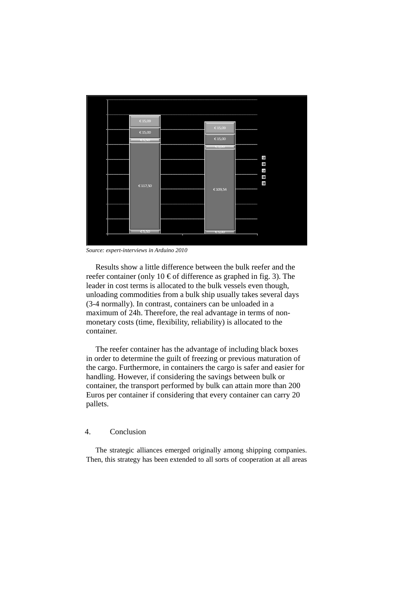Results show a little difference between the bulk reefer and the reefer container (only 10  $\in$  of difference as graphed in fig. 3). The leader in cost terms is allocated to the bulk vessels even though, unloading commodities from a bulk ship usually takes several days (3-4 normally). In contrast, containers can be unloaded in a maximum of 24h. Therefore, the real advantage in terms of nonmonetary costs (time, flexibility, reliability) is allocated to the container.



*Source: expert-interviews in Arduino 2010* 

The reefer container has the advantage of including black boxes in order to determine the guilt of freezing or previous maturation of the cargo. Furthermore, in containers the cargo is safer and easier for handling. However, if considering the savings between bulk or container, the transport performed by bulk can attain more than 200 Euros per container if considering that every container can carry 20 pallets.

4.Conclusion

The strategic alliances emerged originally among shipping companies. Then, this strategy has been extended to all sorts of cooperation at all areas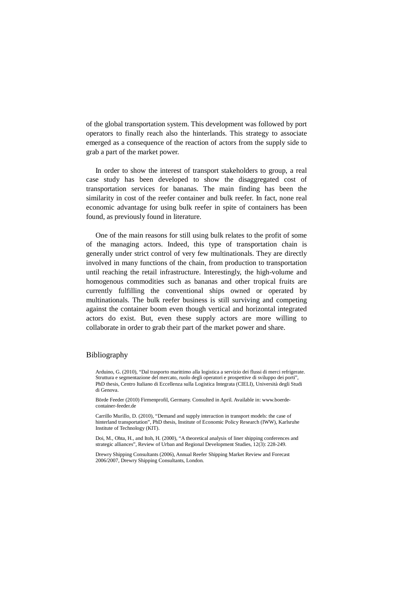of the global transportation system. This development was followed by port operators to finally reach also the hinterlands. This strategy to associate emerged as a consequence of the reaction of actors from the supply side to grab a part of the market power.

In order to show the interest of transport stakeholders to group, a real case study has been developed to show the disaggregated cost of transportation services for bananas. The main finding has been the similarity in cost of the reefer container and bulk reefer. In fact, none real economic advantage for using bulk reefer in spite of containers has been found, as previously found in literature.

One of the main reasons for still using bulk relates to the profit of some of the managing actors. Indeed, this type of transportation chain is generally under strict control of very few multinationals. They are directly involved in many functions of the chain, from production to transportation until reaching the retail infrastructure. Interestingly, the high-volume and homogenous commodities such as bananas and other tropical fruits are currently fulfilling the conventional ships owned or operated by multinationals. The bulk reefer business is still surviving and competing against the container boom even though vertical and horizontal integrated actors do exist. But, even these supply actors are more willing to collaborate in order to grab their part of the market power and share.

### Bibliography

Arduino, G. (2010), "Dal trasporto marittimo alla logistica a servizio dei flussi di merci refrigerate. Struttura e segmentazione del mercato, ruolo degli operatori e prospettive di sviluppo dei porti", PhD thesis, Centro Italiano di Eccellenza sulla Logistica Integrata (CIELI), Università degli Studi di Genova.

Börde Feeder (2010) Firmenprofil, Germany. Consulted in April. Available in: www.boerdecontainer-feeder.de

Carrillo Murillo, D. (2010), "Demand and supply interaction in transport models: the case of hinterland transportation", PhD thesis, Institute of Economic Policy Research (IWW), Karlsruhe Institute of Technology (KIT).

Doi, M., Ohta, H., and Itoh, H. (2000), "A theoretical analysis of liner shipping conferences and strategic alliances", Review of Urban and Regional Development Studies, 12(3): 228-249.

Drewry Shipping Consultants (2006), Annual Reefer Shipping Market Review and Forecast 2006/2007, Drewry Shipping Consultants, London.